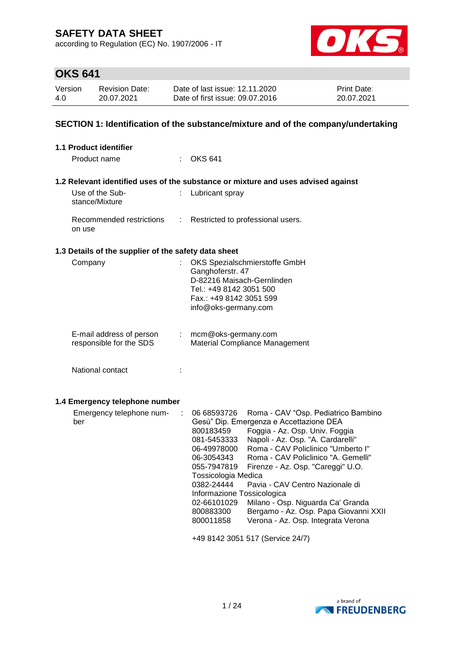according to Regulation (EC) No. 1907/2006 - IT



# **OKS 641**

| Version | Revision Date: | Date of last issue: 12.11.2020  | <b>Print Date:</b> |
|---------|----------------|---------------------------------|--------------------|
| 4.0     | 20.07.2021     | Date of first issue: 09.07.2016 | 20.07.2021         |

### **SECTION 1: Identification of the substance/mixture and of the company/undertaking**

| 1.1 Product identifier |                                                                 |                                                                                                                                                                                                                                                                                                                                                                                                                                                                                                                                                                                                                                                                       |
|------------------------|-----------------------------------------------------------------|-----------------------------------------------------------------------------------------------------------------------------------------------------------------------------------------------------------------------------------------------------------------------------------------------------------------------------------------------------------------------------------------------------------------------------------------------------------------------------------------------------------------------------------------------------------------------------------------------------------------------------------------------------------------------|
|                        | Product name                                                    | OKS 641                                                                                                                                                                                                                                                                                                                                                                                                                                                                                                                                                                                                                                                               |
|                        |                                                                 | 1.2 Relevant identified uses of the substance or mixture and uses advised against                                                                                                                                                                                                                                                                                                                                                                                                                                                                                                                                                                                     |
|                        | Use of the Sub-<br>÷<br>stance/Mixture                          | Lubricant spray                                                                                                                                                                                                                                                                                                                                                                                                                                                                                                                                                                                                                                                       |
| on use                 | Recommended restrictions<br>÷                                   | Restricted to professional users.                                                                                                                                                                                                                                                                                                                                                                                                                                                                                                                                                                                                                                     |
|                        | 1.3 Details of the supplier of the safety data sheet            |                                                                                                                                                                                                                                                                                                                                                                                                                                                                                                                                                                                                                                                                       |
| Company                | ÷                                                               | OKS Spezialschmierstoffe GmbH<br>Ganghoferstr. 47<br>D-82216 Maisach-Gernlinden<br>Tel.: +49 8142 3051 500<br>Fax.: +49 8142 3051 599<br>info@oks-germany.com                                                                                                                                                                                                                                                                                                                                                                                                                                                                                                         |
|                        | E-mail address of person<br>responsible for the SDS             | mcm@oks-germany.com<br>Material Compliance Management                                                                                                                                                                                                                                                                                                                                                                                                                                                                                                                                                                                                                 |
|                        | National contact                                                |                                                                                                                                                                                                                                                                                                                                                                                                                                                                                                                                                                                                                                                                       |
| ber                    | 1.4 Emergency telephone number<br>Emergency telephone num-<br>÷ | 06 68593726<br>Roma - CAV "Osp. Pediatrico Bambino<br>Gesù" Dip. Emergenza e Accettazione DEA<br>800183459<br>Foggia - Az. Osp. Univ. Foggia<br>Napoli - Az. Osp. "A. Cardarelli"<br>081-5453333<br>Roma - CAV Policlinico "Umberto I"<br>06-49978000<br>Roma - CAV Policlinico "A. Gemelli"<br>06-3054343<br>055-7947819<br>Firenze - Az. Osp. "Careggi" U.O.<br>Tossicologia Medica<br>0382-24444<br>Pavia - CAV Centro Nazionale di<br>Informazione Tossicologica<br>Milano - Osp. Niguarda Ca' Granda<br>02-66101029<br>800883300<br>Bergamo - Az. Osp. Papa Giovanni XXII<br>Verona - Az. Osp. Integrata Verona<br>800011858<br>+49 8142 3051 517 (Service 24/7) |

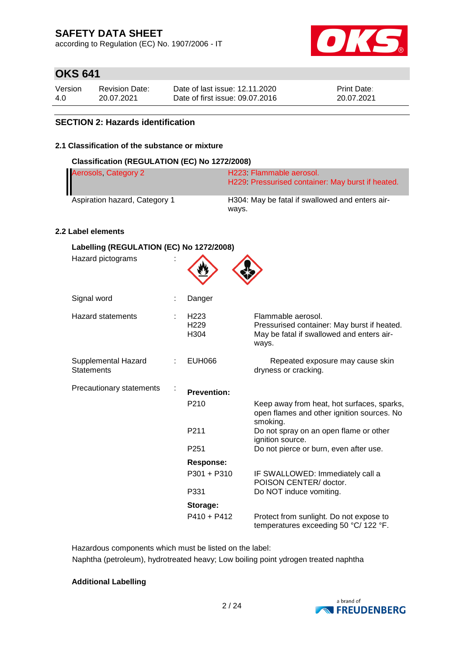according to Regulation (EC) No. 1907/2006 - IT



# **OKS 641**

| Version | <b>Revision Date:</b> | Date of last issue: 12.11.2020  | <b>Print Date:</b> |
|---------|-----------------------|---------------------------------|--------------------|
| 4.0     | 20.07.2021            | Date of first issue: 09.07.2016 | 20.07.2021         |

### **SECTION 2: Hazards identification**

### **2.1 Classification of the substance or mixture**

#### **Classification (REGULATION (EC) No 1272/2008)**

| Aerosols, Category 2          | H223 Flammable aerosol.<br>H229 Pressurised container: May burst if heated. |
|-------------------------------|-----------------------------------------------------------------------------|
| Aspiration hazard, Category 1 | H304: May be fatal if swallowed and enters air-<br>ways.                    |

### **2.2 Label elements**

| Labelling (REGULATION (EC) No 1272/2008)<br>Hazard pictograms |                                              |                                                                                                                         |
|---------------------------------------------------------------|----------------------------------------------|-------------------------------------------------------------------------------------------------------------------------|
| Signal word                                                   | Danger                                       |                                                                                                                         |
| <b>Hazard statements</b>                                      | H <sub>223</sub><br>H <sub>229</sub><br>H304 | Flammable aerosol.<br>Pressurised container: May burst if heated.<br>May be fatal if swallowed and enters air-<br>ways. |
| Supplemental Hazard<br><b>Statements</b>                      | <b>EUH066</b>                                | Repeated exposure may cause skin<br>dryness or cracking.                                                                |
| Precautionary statements<br>t                                 | <b>Prevention:</b>                           |                                                                                                                         |
|                                                               | P <sub>210</sub>                             | Keep away from heat, hot surfaces, sparks,<br>open flames and other ignition sources. No<br>smoking.                    |
|                                                               | P211                                         | Do not spray on an open flame or other<br>ignition source.                                                              |
|                                                               | P <sub>251</sub>                             | Do not pierce or burn, even after use.                                                                                  |
|                                                               | <b>Response:</b>                             |                                                                                                                         |
|                                                               | $P301 + P310$                                | IF SWALLOWED: Immediately call a<br>POISON CENTER/ doctor.                                                              |
|                                                               | P331                                         | Do NOT induce vomiting.                                                                                                 |
|                                                               | Storage:                                     |                                                                                                                         |
|                                                               | $P410 + P412$                                | Protect from sunlight. Do not expose to<br>temperatures exceeding 50 °C/ 122 °F.                                        |

Hazardous components which must be listed on the label: Naphtha (petroleum), hydrotreated heavy; Low boiling point ydrogen treated naphtha

### **Additional Labelling**

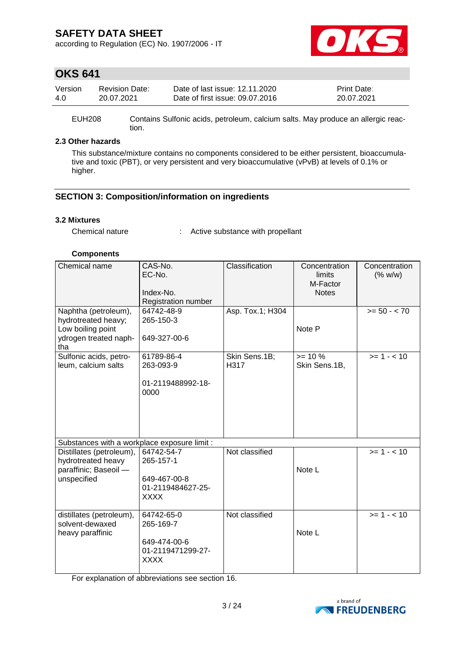according to Regulation (EC) No. 1907/2006 - IT



## **OKS 641**

| Version | <b>Revision Date:</b> | Date of last issue: 12.11.2020  | <b>Print Date:</b> |
|---------|-----------------------|---------------------------------|--------------------|
| 4.0     | 20.07.2021            | Date of first issue: 09.07.2016 | 20.07.2021         |

EUH208 Contains Sulfonic acids, petroleum, calcium salts. May produce an allergic reaction.

### **2.3 Other hazards**

This substance/mixture contains no components considered to be either persistent, bioaccumulative and toxic (PBT), or very persistent and very bioaccumulative (vPvB) at levels of 0.1% or higher.

### **SECTION 3: Composition/information on ingredients**

### **3.2 Mixtures**

Chemical nature : Active substance with propellant

#### **Components**

| Chemical name                                                                                    | CAS-No.<br>EC-No.<br>Index-No.<br>Registration number                       | Classification        | Concentration<br>limits<br>M-Factor<br><b>Notes</b> | Concentration<br>(% w/w) |
|--------------------------------------------------------------------------------------------------|-----------------------------------------------------------------------------|-----------------------|-----------------------------------------------------|--------------------------|
| Naphtha (petroleum),<br>hydrotreated heavy;<br>Low boiling point<br>ydrogen treated naph-<br>tha | 64742-48-9<br>265-150-3<br>649-327-00-6                                     | Asp. Tox.1; H304      | Note P                                              | $>= 50 - < 70$           |
| Sulfonic acids, petro-<br>leum, calcium salts                                                    | 61789-86-4<br>263-093-9<br>01-2119488992-18-<br>0000                        | Skin Sens.1B;<br>H317 | $>= 10 \%$<br>Skin Sens.1B,                         | $>= 1 - 10$              |
| Substances with a workplace exposure limit :                                                     |                                                                             |                       |                                                     |                          |
| Distillates (petroleum),<br>hydrotreated heavy<br>paraffinic; Baseoil -<br>unspecified           | 64742-54-7<br>265-157-1<br>649-467-00-8<br>01-2119484627-25-<br>XXXX        | Not classified        | Note L                                              | $>= 1 - 10$              |
| distillates (petroleum),<br>solvent-dewaxed<br>heavy paraffinic                                  | 64742-65-0<br>265-169-7<br>649-474-00-6<br>01-2119471299-27-<br><b>XXXX</b> | Not classified        | Note L                                              | $>= 1 - 10$              |

For explanation of abbreviations see section 16.

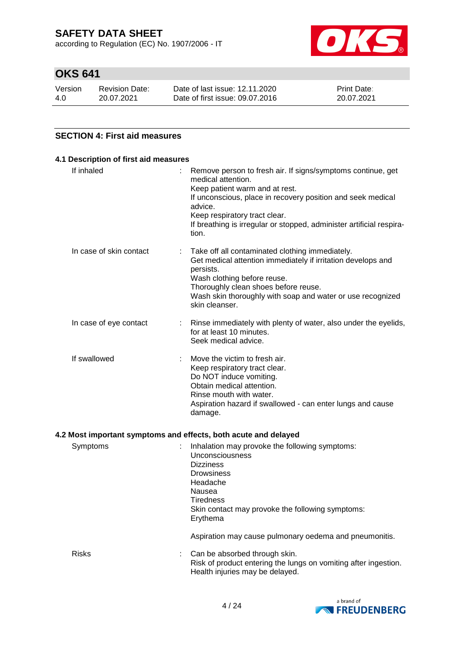according to Regulation (EC) No. 1907/2006 - IT



# **OKS 641**

| Version | Revision Date: | Date of last issue: 12.11.2020  | <b>Print Date:</b> |
|---------|----------------|---------------------------------|--------------------|
| 4.0     | 20.07.2021     | Date of first issue: 09.07.2016 | 20.07.2021         |

### **SECTION 4: First aid measures**

| 4.1 Description of first aid measures                           |                                                                                                                                                                   |  |  |
|-----------------------------------------------------------------|-------------------------------------------------------------------------------------------------------------------------------------------------------------------|--|--|
| If inhaled                                                      | Remove person to fresh air. If signs/symptoms continue, get<br>÷.<br>medical attention.                                                                           |  |  |
|                                                                 | Keep patient warm and at rest.<br>If unconscious, place in recovery position and seek medical<br>advice.                                                          |  |  |
|                                                                 | Keep respiratory tract clear.                                                                                                                                     |  |  |
|                                                                 | If breathing is irregular or stopped, administer artificial respira-<br>tion.                                                                                     |  |  |
| In case of skin contact                                         | Take off all contaminated clothing immediately.<br>÷.<br>Get medical attention immediately if irritation develops and<br>persists.<br>Wash clothing before reuse. |  |  |
|                                                                 | Thoroughly clean shoes before reuse.                                                                                                                              |  |  |
|                                                                 | Wash skin thoroughly with soap and water or use recognized<br>skin cleanser.                                                                                      |  |  |
| In case of eye contact                                          | Rinse immediately with plenty of water, also under the eyelids,<br>for at least 10 minutes.<br>Seek medical advice.                                               |  |  |
| If swallowed                                                    | Move the victim to fresh air.                                                                                                                                     |  |  |
|                                                                 | Keep respiratory tract clear.                                                                                                                                     |  |  |
|                                                                 | Do NOT induce vomiting.                                                                                                                                           |  |  |
|                                                                 | Obtain medical attention.<br>Rinse mouth with water.                                                                                                              |  |  |
|                                                                 | Aspiration hazard if swallowed - can enter lungs and cause<br>damage.                                                                                             |  |  |
| 4.2 Most important symptoms and effects, both acute and delayed |                                                                                                                                                                   |  |  |
|                                                                 |                                                                                                                                                                   |  |  |

| Symptoms     | Inhalation may provoke the following symptoms:<br>Unconsciousness<br><b>Dizziness</b><br><b>Drowsiness</b><br>Headache<br>Nausea<br>Tiredness<br>Skin contact may provoke the following symptoms:<br>Erythema |
|--------------|---------------------------------------------------------------------------------------------------------------------------------------------------------------------------------------------------------------|
|              | Aspiration may cause pulmonary oedema and pneumonitis.                                                                                                                                                        |
| <b>Risks</b> | : Can be absorbed through skin.<br>Risk of product entering the lungs on vomiting after ingestion.<br>Health injuries may be delayed.                                                                         |

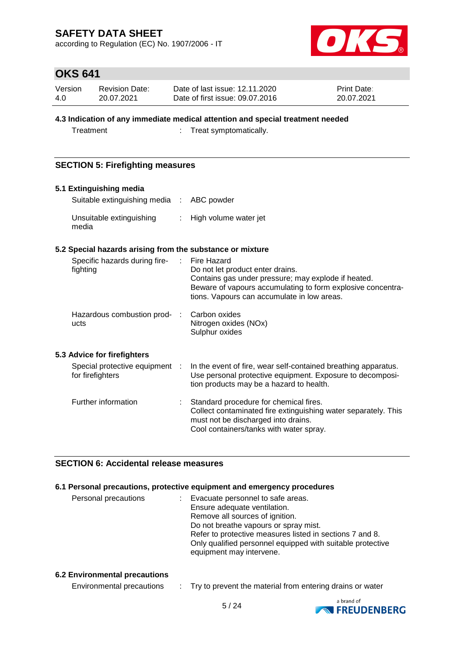according to Regulation (EC) No. 1907/2006 - IT



## **OKS 641**

| Version | <b>Revision Date:</b> | Date of last issue: 12.11.2020  | <b>Print Date:</b> |
|---------|-----------------------|---------------------------------|--------------------|
| 4.0     | 20.07.2021            | Date of first issue: 09.07.2016 | 20.07.2021         |

### **4.3 Indication of any immediate medical attention and special treatment needed**

Treatment : Treat symptomatically.

### **SECTION 5: Firefighting measures**

# **5.1 Extinguishing media** Suitable extinguishing media : ABC powder Unsuitable extinguishing : High volume water jet media

| 5.2 Special hazards arising from the substance or mixture |                                                                                                                                                                                                       |
|-----------------------------------------------------------|-------------------------------------------------------------------------------------------------------------------------------------------------------------------------------------------------------|
| Specific hazards during fire- : Fire Hazard<br>fighting   | Do not let product enter drains.<br>Contains gas under pressure; may explode if heated.<br>Beware of vapours accumulating to form explosive concentra-<br>tions. Vapours can accumulate in low areas. |
| Hazardous combustion prod- :<br>ucts                      | Carbon oxides<br>Nitrogen oxides (NOx)<br>Sulphur oxides                                                                                                                                              |
| 5.3 Advice for firefighters                               |                                                                                                                                                                                                       |
| Special protective equipment :<br>for firefighters        | In the event of fire, wear self-contained breathing apparatus.<br>Use personal protective equipment. Exposure to decomposi-<br>tion products may be a hazard to health.                               |
| Further information                                       | Standard procedure for chemical fires.<br>Collect contaminated fire extinguishing water separately. This<br>must not be discharged into drains.<br>Cool containers/tanks with water spray.            |

## **SECTION 6: Accidental release measures**

### **6.1 Personal precautions, protective equipment and emergency procedures**

| Personal precautions | Evacuate personnel to safe areas.<br>Ensure adequate ventilation.<br>Remove all sources of ignition. |
|----------------------|------------------------------------------------------------------------------------------------------|
|                      | Do not breathe vapours or spray mist.<br>Refer to protective measures listed in sections 7 and 8.    |
|                      | Only qualified personnel equipped with suitable protective<br>equipment may intervene.               |

### **6.2 Environmental precautions**

| Environmental precautions |  |  | Try to prevent the material from entering drains or water |
|---------------------------|--|--|-----------------------------------------------------------|
|---------------------------|--|--|-----------------------------------------------------------|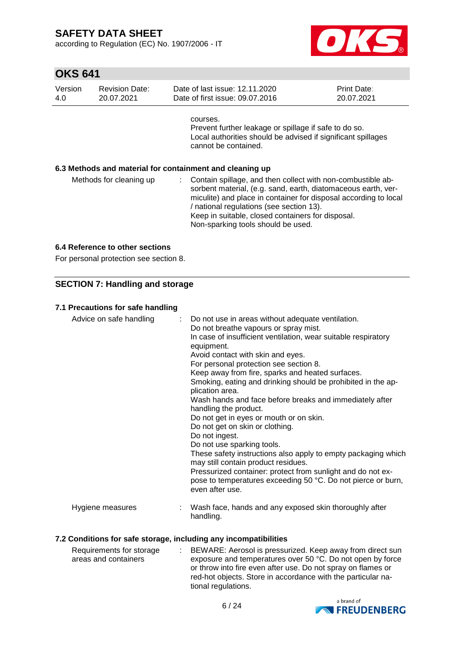according to Regulation (EC) No. 1907/2006 - IT



## **OKS 641**

| Version<br>4.0 | <b>Revision Date:</b><br>20.07.2021                      |          | Date of last issue: 12.11.2020<br>Date of first issue: 09.07.2016                                                                                                                                                                                                                                                                       | Print Date:<br>20.07.2021 |
|----------------|----------------------------------------------------------|----------|-----------------------------------------------------------------------------------------------------------------------------------------------------------------------------------------------------------------------------------------------------------------------------------------------------------------------------------------|---------------------------|
|                |                                                          | courses. | Prevent further leakage or spillage if safe to do so.<br>Local authorities should be advised if significant spillages<br>cannot be contained.                                                                                                                                                                                           |                           |
|                | 6.3 Methods and material for containment and cleaning up |          |                                                                                                                                                                                                                                                                                                                                         |                           |
|                | Methods for cleaning up                                  | ÷.       | Contain spillage, and then collect with non-combustible ab-<br>sorbent material, (e.g. sand, earth, diatomaceous earth, ver-<br>miculite) and place in container for disposal according to local<br>/ national regulations (see section 13).<br>Keep in suitable, closed containers for disposal.<br>Non-sparking tools should be used. |                           |

### **6.4 Reference to other sections**

For personal protection see section 8.

### **SECTION 7: Handling and storage**

### **7.1 Precautions for safe handling**

| Advice on safe handling | : Do not use in areas without adequate ventilation.<br>Do not breathe vapours or spray mist.<br>In case of insufficient ventilation, wear suitable respiratory<br>equipment.<br>Avoid contact with skin and eyes.<br>For personal protection see section 8.<br>Keep away from fire, sparks and heated surfaces.<br>Smoking, eating and drinking should be prohibited in the ap-<br>plication area.<br>Wash hands and face before breaks and immediately after<br>handling the product.<br>Do not get in eyes or mouth or on skin.<br>Do not get on skin or clothing.<br>Do not ingest.<br>Do not use sparking tools.<br>These safety instructions also apply to empty packaging which<br>may still contain product residues.<br>Pressurized container: protect from sunlight and do not ex-<br>pose to temperatures exceeding 50 °C. Do not pierce or burn,<br>even after use. |
|-------------------------|--------------------------------------------------------------------------------------------------------------------------------------------------------------------------------------------------------------------------------------------------------------------------------------------------------------------------------------------------------------------------------------------------------------------------------------------------------------------------------------------------------------------------------------------------------------------------------------------------------------------------------------------------------------------------------------------------------------------------------------------------------------------------------------------------------------------------------------------------------------------------------|
| Hygiene measures        | Wash face, hands and any exposed skin thoroughly after<br>handling.                                                                                                                                                                                                                                                                                                                                                                                                                                                                                                                                                                                                                                                                                                                                                                                                            |

### **7.2 Conditions for safe storage, including any incompatibilities**

| Requirements for storage | BEWARE: Aerosol is pressurized. Keep away from direct sun    |
|--------------------------|--------------------------------------------------------------|
| areas and containers     | exposure and temperatures over 50 °C. Do not open by force   |
|                          | or throw into fire even after use. Do not spray on flames or |
|                          | red-hot objects. Store in accordance with the particular na- |
|                          | tional regulations.                                          |

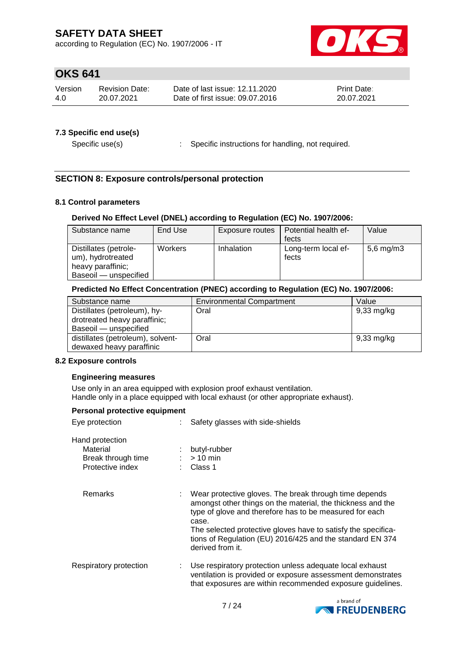according to Regulation (EC) No. 1907/2006 - IT



## **OKS 641**

| Version | Revision Date: | Date of last issue: 12.11.2020  | <b>Print Date:</b> |
|---------|----------------|---------------------------------|--------------------|
| -4.0    | 20.07.2021     | Date of first issue: 09.07.2016 | 20.07.2021         |

### **7.3 Specific end use(s)**

Specific use(s) : Specific instructions for handling, not required.

### **SECTION 8: Exposure controls/personal protection**

### **8.1 Control parameters**

### **Derived No Effect Level (DNEL) according to Regulation (EC) No. 1907/2006:**

| Substance name                                                                           | End Use | Exposure routes | Potential health ef-         | Value        |
|------------------------------------------------------------------------------------------|---------|-----------------|------------------------------|--------------|
|                                                                                          |         |                 | fects                        |              |
| Distillates (petrole-<br>um), hydrotreated<br>heavy paraffinic;<br>Baseoil - unspecified | Workers | Inhalation      | Long-term local ef-<br>fects | 5,6 mg/m $3$ |

### **Predicted No Effect Concentration (PNEC) according to Regulation (EC) No. 1907/2006:**

| Substance name                                                                        | <b>Environmental Compartment</b> | Value      |
|---------------------------------------------------------------------------------------|----------------------------------|------------|
| Distillates (petroleum), hy-<br>drotreated heavy paraffinic;<br>Baseoil - unspecified | Oral                             | 9,33 mg/kg |
| distillates (petroleum), solvent-<br>dewaxed heavy paraffinic                         | Oral                             | 9,33 mg/kg |

#### **8.2 Exposure controls**

#### **Engineering measures**

Use only in an area equipped with explosion proof exhaust ventilation. Handle only in a place equipped with local exhaust (or other appropriate exhaust).

#### **Personal protective equipment**

| Eve protection                                                        | Safety glasses with side-shields                                                                                                                                                                                                                                                                                                            |
|-----------------------------------------------------------------------|---------------------------------------------------------------------------------------------------------------------------------------------------------------------------------------------------------------------------------------------------------------------------------------------------------------------------------------------|
| Hand protection<br>Material<br>Break through time<br>Protective index | butyl-rubber<br>$:$ > 10 min<br>Class 1                                                                                                                                                                                                                                                                                                     |
| <b>Remarks</b>                                                        | Wear protective gloves. The break through time depends<br>amongst other things on the material, the thickness and the<br>type of glove and therefore has to be measured for each<br>case.<br>The selected protective gloves have to satisfy the specifica-<br>tions of Regulation (EU) 2016/425 and the standard EN 374<br>derived from it. |
| Respiratory protection                                                | Use respiratory protection unless adequate local exhaust<br>ventilation is provided or exposure assessment demonstrates<br>that exposures are within recommended exposure guidelines.                                                                                                                                                       |

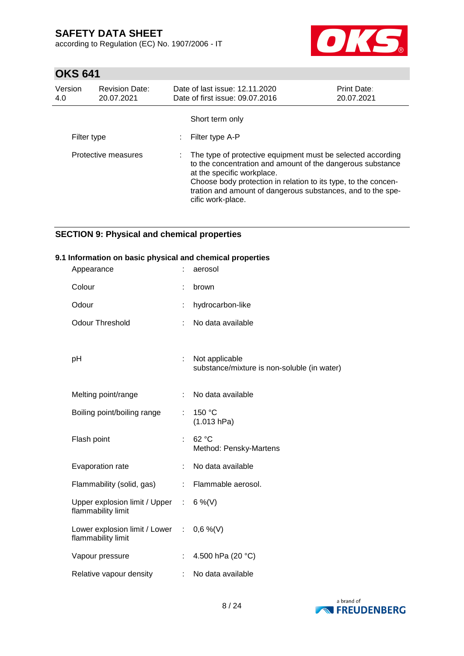according to Regulation (EC) No. 1907/2006 - IT



# **OKS 641**

| Version<br>4.0      | <b>Revision Date:</b><br>20.07.2021 | Date of last issue: 12.11.2020<br>Date of first issue: 09.07.2016                                                                                                                                                                                                                                               | Print Date:<br>20.07.2021 |  |
|---------------------|-------------------------------------|-----------------------------------------------------------------------------------------------------------------------------------------------------------------------------------------------------------------------------------------------------------------------------------------------------------------|---------------------------|--|
|                     |                                     | Short term only                                                                                                                                                                                                                                                                                                 |                           |  |
| Filter type         |                                     | Filter type A-P                                                                                                                                                                                                                                                                                                 |                           |  |
| Protective measures |                                     | : The type of protective equipment must be selected according<br>to the concentration and amount of the dangerous substance<br>at the specific workplace.<br>Choose body protection in relation to its type, to the concen-<br>tration and amount of dangerous substances, and to the spe-<br>cific work-place. |                           |  |

## **SECTION 9: Physical and chemical properties**

#### **9.1 Information on basic physical and chemical properties**

| Appearance                                                        |    | aerosol                                                       |
|-------------------------------------------------------------------|----|---------------------------------------------------------------|
| Colour                                                            |    | brown                                                         |
| Odour                                                             |    | hydrocarbon-like                                              |
| <b>Odour Threshold</b>                                            | t. | No data available                                             |
|                                                                   |    |                                                               |
| pH                                                                |    | Not applicable<br>substance/mixture is non-soluble (in water) |
| Melting point/range                                               |    | No data available                                             |
| Boiling point/boiling range                                       | t. | 150 °C<br>(1.013 hPa)                                         |
| Flash point                                                       |    | 62 °C<br>Method: Pensky-Martens                               |
| Evaporation rate                                                  |    | No data available                                             |
| Flammability (solid, gas)                                         | ÷. | Flammable aerosol.                                            |
| Upper explosion limit / Upper :<br>flammability limit             |    | 6 %(V)                                                        |
| Lower explosion limit / Lower : $0,6\%$ (V)<br>flammability limit |    |                                                               |
| Vapour pressure                                                   |    | 4.500 hPa (20 °C)                                             |
| Relative vapour density                                           |    | No data available                                             |

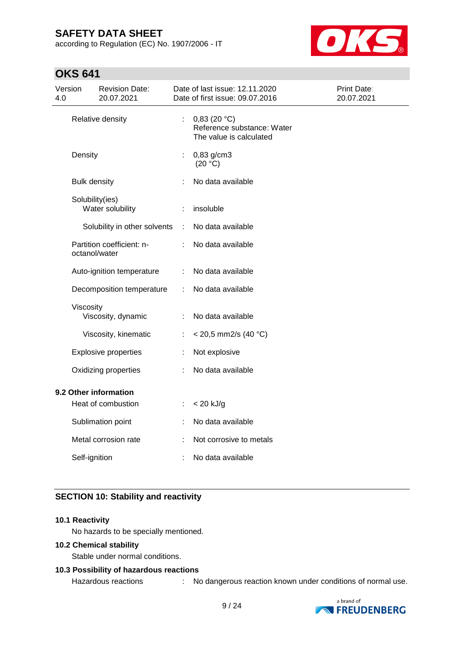according to Regulation (EC) No. 1907/2006 - IT



## **OKS 641**

| Version<br>4.0 |                     | <b>Revision Date:</b><br>20.07.2021 |    | Date of last issue: 12.11.2020<br>Date of first issue: 09.07.2016    | Print Date:<br>20.07.2021 |
|----------------|---------------------|-------------------------------------|----|----------------------------------------------------------------------|---------------------------|
|                |                     | Relative density                    | t. | 0,83(20 °C)<br>Reference substance: Water<br>The value is calculated |                           |
|                | Density             |                                     | t, | 0,83 g/cm3<br>(20 °C)                                                |                           |
|                | <b>Bulk density</b> |                                     |    | No data available                                                    |                           |
|                | Solubility(ies)     | Water solubility                    |    | insoluble                                                            |                           |
|                |                     | Solubility in other solvents        | ÷  | No data available                                                    |                           |
|                | octanol/water       | Partition coefficient: n-           |    | No data available                                                    |                           |
|                |                     | Auto-ignition temperature           | ÷  | No data available                                                    |                           |
|                |                     | Decomposition temperature           | ÷  | No data available                                                    |                           |
|                | Viscosity           | Viscosity, dynamic                  | ÷  | No data available                                                    |                           |
|                |                     | Viscosity, kinematic                | ÷. | $<$ 20,5 mm2/s (40 °C)                                               |                           |
|                |                     | <b>Explosive properties</b>         | t  | Not explosive                                                        |                           |
|                |                     | Oxidizing properties                |    | No data available                                                    |                           |
|                |                     | 9.2 Other information               |    |                                                                      |                           |
|                |                     | Heat of combustion                  | ÷  | $< 20$ kJ/g                                                          |                           |
|                |                     | Sublimation point                   |    | No data available                                                    |                           |
|                |                     | Metal corrosion rate                |    | Not corrosive to metals                                              |                           |
|                | Self-ignition       |                                     |    | No data available                                                    |                           |

## **SECTION 10: Stability and reactivity**

### **10.1 Reactivity**

No hazards to be specially mentioned.

### **10.2 Chemical stability**

Stable under normal conditions.

#### **10.3 Possibility of hazardous reactions**

Hazardous reactions : No dangerous reaction known under conditions of normal use.

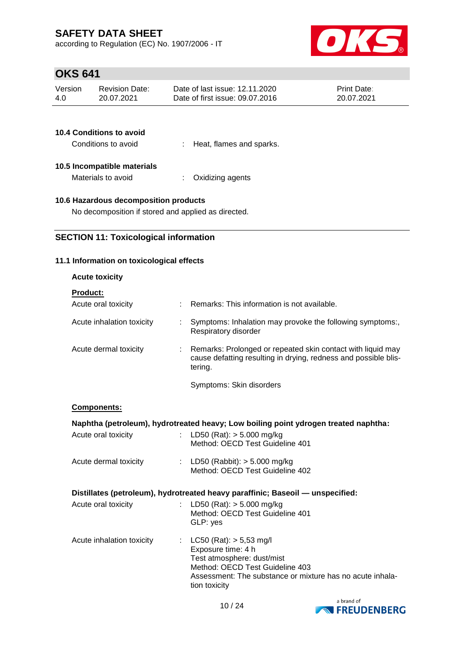according to Regulation (EC) No. 1907/2006 - IT



# **OKS 641**

| Version | <b>Revision Date:</b> | Date of last issue: 12.11.2020  | <b>Print Date:</b> |
|---------|-----------------------|---------------------------------|--------------------|
| 4.0     | 20.07.2021            | Date of first issue: 09.07.2016 | 20.07.2021         |
|         |                       |                                 |                    |

| <b>10.4 Conditions to avoid</b><br>Conditions to avoid | : Heat, flames and sparks. |
|--------------------------------------------------------|----------------------------|
| 10.5 Incompatible materials<br>Materials to avoid      | : Oxidizing agents         |

## **10.6 Hazardous decomposition products**

No decomposition if stored and applied as directed.

| <b>SECTION 11: Toxicological information</b> |  |
|----------------------------------------------|--|
|----------------------------------------------|--|

### **11.1 Information on toxicological effects**

| <b>Acute toxicity</b>           |                                                                                                                                                                                                 |
|---------------------------------|-------------------------------------------------------------------------------------------------------------------------------------------------------------------------------------------------|
| <b>Product:</b>                 |                                                                                                                                                                                                 |
| Acute oral toxicity             | : Remarks: This information is not available.                                                                                                                                                   |
| Acute inhalation toxicity<br>t. | Symptoms: Inhalation may provoke the following symptoms:,<br>Respiratory disorder                                                                                                               |
| Acute dermal toxicity           | Remarks: Prolonged or repeated skin contact with liquid may<br>cause defatting resulting in drying, redness and possible blis-<br>tering.                                                       |
|                                 | Symptoms: Skin disorders                                                                                                                                                                        |
| Components:                     |                                                                                                                                                                                                 |
|                                 | Naphtha (petroleum), hydrotreated heavy; Low boiling point ydrogen treated naphtha:                                                                                                             |
| Acute oral toxicity             | : LD50 (Rat): $> 5.000$ mg/kg<br>Method: OECD Test Guideline 401                                                                                                                                |
| Acute dermal toxicity           | : LD50 (Rabbit): $> 5.000$ mg/kg<br>Method: OECD Test Guideline 402                                                                                                                             |
|                                 | Distillates (petroleum), hydrotreated heavy paraffinic; Baseoil - unspecified:                                                                                                                  |
| Acute oral toxicity<br>÷.       | LD50 (Rat): $> 5.000$ mg/kg<br>Method: OECD Test Guideline 401<br>GLP: yes                                                                                                                      |
| Acute inhalation toxicity       | : $LC50 (Rat) : 5,53 mg/l$<br>Exposure time: 4 h<br>Test atmosphere: dust/mist<br>Method: OECD Test Guideline 403<br>Assessment: The substance or mixture has no acute inhala-<br>tion toxicity |

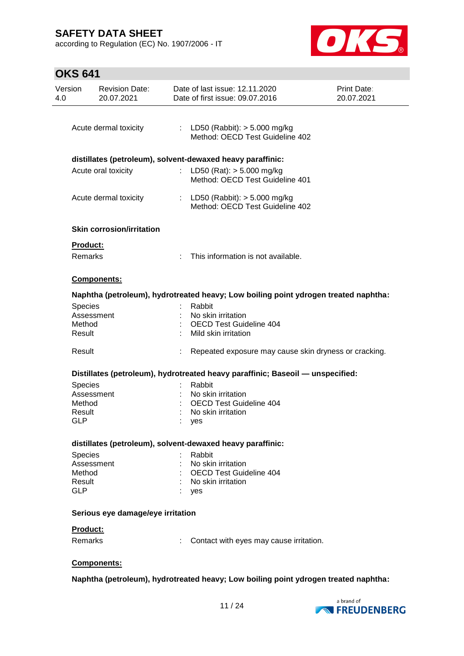according to Regulation (EC) No. 1907/2006 - IT



| Version         | <b>Revision Date:</b><br>20.07.2021 | Date of last issue: 12.11.2020<br>Date of first issue: 09.07.2016                   | <b>Print Date:</b><br>20.07.2021 |
|-----------------|-------------------------------------|-------------------------------------------------------------------------------------|----------------------------------|
|                 |                                     |                                                                                     |                                  |
|                 | Acute dermal toxicity               | : LD50 (Rabbit): $>$ 5.000 mg/kg<br>Method: OECD Test Guideline 402                 |                                  |
|                 |                                     | distillates (petroleum), solvent-dewaxed heavy paraffinic:                          |                                  |
|                 | Acute oral toxicity                 | : LD50 (Rat): $> 5.000$ mg/kg<br>Method: OECD Test Guideline 401                    |                                  |
|                 | Acute dermal toxicity               | : LD50 (Rabbit): $> 5.000$ mg/kg<br>Method: OECD Test Guideline 402                 |                                  |
|                 | <b>Skin corrosion/irritation</b>    |                                                                                     |                                  |
| <b>Product:</b> |                                     |                                                                                     |                                  |
| Remarks         |                                     | This information is not available.                                                  |                                  |
|                 | Components:                         |                                                                                     |                                  |
|                 |                                     | Naphtha (petroleum), hydrotreated heavy; Low boiling point ydrogen treated naphtha: |                                  |
| Species         |                                     | Rabbit                                                                              |                                  |
|                 | Assessment                          | No skin irritation                                                                  |                                  |
| Method          |                                     | : OECD Test Guideline 404                                                           |                                  |
| Result          |                                     | Mild skin irritation                                                                |                                  |
| Result          |                                     | Repeated exposure may cause skin dryness or cracking.                               |                                  |
|                 |                                     | Distillates (petroleum), hydrotreated heavy paraffinic; Baseoil — unspecified:      |                                  |
| Species         |                                     | Rabbit                                                                              |                                  |
|                 | Assessment                          | No skin irritation                                                                  |                                  |
| Method          |                                     | <b>OECD Test Guideline 404</b>                                                      |                                  |
| Result          |                                     | No skin irritation                                                                  |                                  |
| <b>GLP</b>      |                                     | yes                                                                                 |                                  |
|                 |                                     | distillates (petroleum), solvent-dewaxed heavy paraffinic:                          |                                  |
| Species         |                                     | Rabbit                                                                              |                                  |
|                 | Assessment                          | No skin irritation                                                                  |                                  |
| Method          |                                     | : OECD Test Guideline 404                                                           |                                  |
| Result          |                                     | : No skin irritation                                                                |                                  |
| <b>GLP</b>      |                                     | $:$ yes                                                                             |                                  |
|                 | Serious eye damage/eye irritation   |                                                                                     |                                  |
| Product:        |                                     |                                                                                     |                                  |
| Remarks         |                                     | Contact with eyes may cause irritation.                                             |                                  |
|                 | Components:                         |                                                                                     |                                  |
|                 |                                     | Naphtha (petroleum), hydrotreated heavy; Low boiling point ydrogen treated naphtha: |                                  |

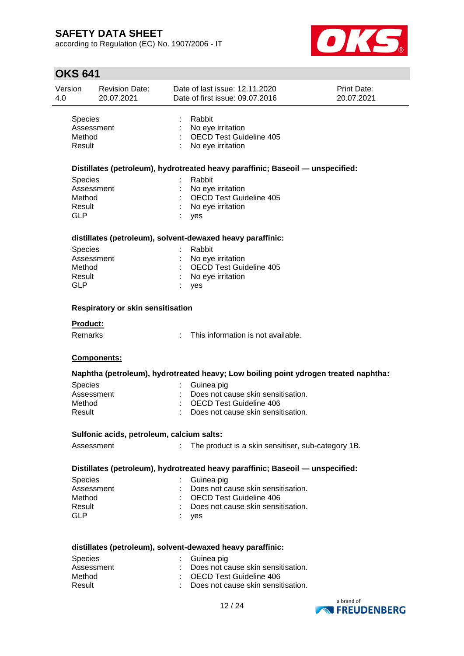according to Regulation (EC) No. 1907/2006 - IT



| Version<br>4.0              | <b>Revision Date:</b><br>20.07.2021       | Date of last issue: 12.11.2020<br>Date of first issue: 09.07.2016                   | Print Date:<br>20.07.2021 |
|-----------------------------|-------------------------------------------|-------------------------------------------------------------------------------------|---------------------------|
| Species<br>Method<br>Result | Assessment                                | Rabbit<br>No eye irritation<br>OECD Test Guideline 405<br>No eye irritation         |                           |
|                             |                                           | Distillates (petroleum), hydrotreated heavy paraffinic; Baseoil - unspecified:      |                           |
| <b>Species</b>              |                                           | Rabbit                                                                              |                           |
|                             | Assessment                                | No eye irritation                                                                   |                           |
| Method                      |                                           | <b>OECD Test Guideline 405</b>                                                      |                           |
| Result                      |                                           | No eye irritation                                                                   |                           |
| <b>GLP</b>                  |                                           | yes                                                                                 |                           |
|                             |                                           | distillates (petroleum), solvent-dewaxed heavy paraffinic:                          |                           |
| <b>Species</b>              |                                           | Rabbit                                                                              |                           |
|                             | Assessment                                | No eye irritation                                                                   |                           |
| Method                      |                                           | <b>OECD Test Guideline 405</b>                                                      |                           |
| Result                      |                                           | No eye irritation                                                                   |                           |
| <b>GLP</b>                  |                                           | yes                                                                                 |                           |
|                             | <b>Respiratory or skin sensitisation</b>  |                                                                                     |                           |
| Product:                    |                                           |                                                                                     |                           |
| Remarks                     |                                           | This information is not available.                                                  |                           |
|                             | Components:                               |                                                                                     |                           |
|                             |                                           | Naphtha (petroleum), hydrotreated heavy; Low boiling point ydrogen treated naphtha: |                           |
| <b>Species</b>              |                                           | Guinea pig                                                                          |                           |
|                             | Assessment                                | Does not cause skin sensitisation.                                                  |                           |
| Method                      |                                           | <b>OECD Test Guideline 406</b>                                                      |                           |
| Result                      |                                           | Does not cause skin sensitisation.                                                  |                           |
|                             | Sulfonic acids, petroleum, calcium salts: |                                                                                     |                           |
|                             | Assessment                                | The product is a skin sensitiser, sub-category 1B.                                  |                           |
|                             |                                           | Distillates (petroleum), hydrotreated heavy paraffinic; Baseoil - unspecified:      |                           |
| <b>Species</b>              |                                           | Guinea pig                                                                          |                           |
|                             | Assessment                                | Does not cause skin sensitisation.                                                  |                           |
| Method                      |                                           | <b>OECD Test Guideline 406</b>                                                      |                           |
| Result                      |                                           | Does not cause skin sensitisation.                                                  |                           |
| <b>GLP</b>                  |                                           | yes                                                                                 |                           |
|                             |                                           |                                                                                     |                           |
|                             |                                           | distillates (petroleum), solvent-dewaxed heavy paraffinic:                          |                           |
| Species                     |                                           | Guinea pig                                                                          |                           |
|                             | Assessment                                | Does not cause skin sensitisation.                                                  |                           |
| Method                      |                                           | <b>OECD Test Guideline 406</b>                                                      |                           |
| Result                      |                                           | Does not cause skin sensitisation.                                                  |                           |
|                             |                                           |                                                                                     | a brand of                |

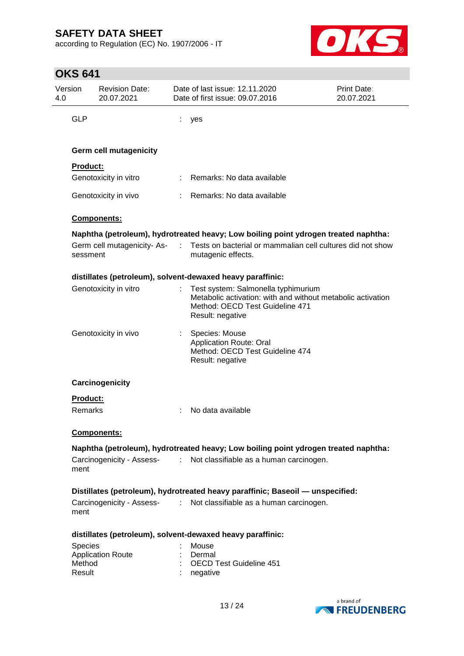according to Regulation (EC) No. 1907/2006 - IT



| Version         | <b>Revision Date:</b><br>20.07.2021 |                               | Date of last issue: 12.11.2020<br>Date of first issue: 09.07.2016                                                                                         | Print Date:<br>20.07.2021 |
|-----------------|-------------------------------------|-------------------------------|-----------------------------------------------------------------------------------------------------------------------------------------------------------|---------------------------|
| <b>GLP</b>      |                                     |                               | yes                                                                                                                                                       |                           |
|                 | <b>Germ cell mutagenicity</b>       |                               |                                                                                                                                                           |                           |
| <b>Product:</b> |                                     |                               |                                                                                                                                                           |                           |
|                 | Genotoxicity in vitro               |                               | : Remarks: No data available                                                                                                                              |                           |
|                 | Genotoxicity in vivo                |                               | Remarks: No data available                                                                                                                                |                           |
|                 | <b>Components:</b>                  |                               |                                                                                                                                                           |                           |
|                 |                                     |                               | Naphtha (petroleum), hydrotreated heavy; Low boiling point ydrogen treated naphtha:                                                                       |                           |
| sessment        | Germ cell mutagenicity-As-          |                               | Tests on bacterial or mammalian cell cultures did not show<br>mutagenic effects.                                                                          |                           |
|                 |                                     |                               | distillates (petroleum), solvent-dewaxed heavy paraffinic:                                                                                                |                           |
|                 | Genotoxicity in vitro               |                               | Test system: Salmonella typhimurium<br>Metabolic activation: with and without metabolic activation<br>Method: OECD Test Guideline 471<br>Result: negative |                           |
|                 | Genotoxicity in vivo                |                               | Species: Mouse<br><b>Application Route: Oral</b><br>Method: OECD Test Guideline 474<br>Result: negative                                                   |                           |
|                 | Carcinogenicity                     |                               |                                                                                                                                                           |                           |
| <b>Product:</b> |                                     |                               |                                                                                                                                                           |                           |
| Remarks         |                                     |                               | No data available                                                                                                                                         |                           |
|                 | Components:                         |                               |                                                                                                                                                           |                           |
| ment            | Carcinogenicity - Assess-           | $\mathcal{L}^{\mathcal{L}}$ . | Naphtha (petroleum), hydrotreated heavy; Low boiling point ydrogen treated naphtha:<br>Not classifiable as a human carcinogen.                            |                           |
|                 |                                     |                               | Distillates (petroleum), hydrotreated heavy paraffinic; Baseoil — unspecified:                                                                            |                           |
| ment            | Carcinogenicity - Assess-           | $\mathcal{L}^{\mathcal{L}}$   | Not classifiable as a human carcinogen.                                                                                                                   |                           |
|                 |                                     |                               | distillates (petroleum), solvent-dewaxed heavy paraffinic:                                                                                                |                           |
| <b>Species</b>  |                                     |                               | Mouse                                                                                                                                                     |                           |
|                 | <b>Application Route</b>            |                               | Dermal<br><b>OECD Test Guideline 451</b>                                                                                                                  |                           |
| Method          |                                     |                               |                                                                                                                                                           |                           |

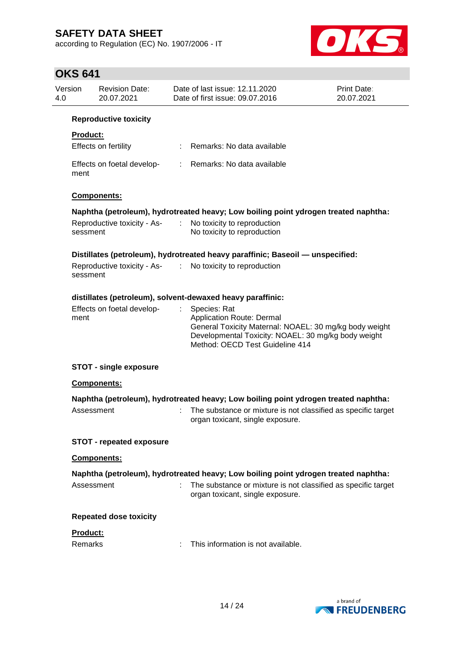according to Regulation (EC) No. 1907/2006 - IT



| Version<br>4.0  | <b>Revision Date:</b><br>20.07.2021 | Date of last issue: 12.11.2020<br>Date of first issue: 09.07.2016                                                                                                                        | <b>Print Date:</b><br>20.07.2021 |
|-----------------|-------------------------------------|------------------------------------------------------------------------------------------------------------------------------------------------------------------------------------------|----------------------------------|
|                 | <b>Reproductive toxicity</b>        |                                                                                                                                                                                          |                                  |
| <b>Product:</b> |                                     |                                                                                                                                                                                          |                                  |
|                 | Effects on fertility                | : Remarks: No data available                                                                                                                                                             |                                  |
| ment            | Effects on foetal develop-          | : Remarks: No data available                                                                                                                                                             |                                  |
|                 | <b>Components:</b>                  |                                                                                                                                                                                          |                                  |
|                 |                                     | Naphtha (petroleum), hydrotreated heavy; Low boiling point ydrogen treated naphtha:                                                                                                      |                                  |
|                 | Reproductive toxicity - As-<br>:    | No toxicity to reproduction                                                                                                                                                              |                                  |
| sessment        |                                     | No toxicity to reproduction                                                                                                                                                              |                                  |
|                 |                                     | Distillates (petroleum), hydrotreated heavy paraffinic; Baseoil - unspecified:                                                                                                           |                                  |
|                 |                                     | Reproductive toxicity - As- : No toxicity to reproduction                                                                                                                                |                                  |
| sessment        |                                     |                                                                                                                                                                                          |                                  |
|                 |                                     | distillates (petroleum), solvent-dewaxed heavy paraffinic:                                                                                                                               |                                  |
|                 | Effects on foetal develop-          | Species: Rat                                                                                                                                                                             |                                  |
| ment            |                                     | Application Route: Dermal<br>General Toxicity Maternal: NOAEL: 30 mg/kg body weight<br>Developmental Toxicity: NOAEL: 30 mg/kg body weight<br>Method: OECD Test Guideline 414            |                                  |
|                 | <b>STOT - single exposure</b>       |                                                                                                                                                                                          |                                  |
|                 |                                     |                                                                                                                                                                                          |                                  |
|                 | Components:                         |                                                                                                                                                                                          |                                  |
|                 |                                     |                                                                                                                                                                                          |                                  |
|                 | Assessment                          | Naphtha (petroleum), hydrotreated heavy; Low boiling point ydrogen treated naphtha:<br>The substance or mixture is not classified as specific target<br>organ toxicant, single exposure. |                                  |
|                 | <b>STOT - repeated exposure</b>     |                                                                                                                                                                                          |                                  |
|                 | Components:                         |                                                                                                                                                                                          |                                  |
|                 |                                     | Naphtha (petroleum), hydrotreated heavy; Low boiling point ydrogen treated naphtha:                                                                                                      |                                  |
|                 | Assessment                          | The substance or mixture is not classified as specific target<br>organ toxicant, single exposure.                                                                                        |                                  |
|                 | <b>Repeated dose toxicity</b>       |                                                                                                                                                                                          |                                  |
| Product:        |                                     |                                                                                                                                                                                          |                                  |

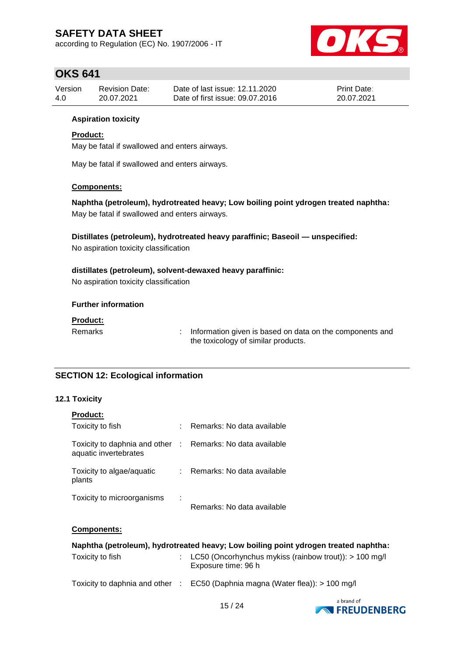according to Regulation (EC) No. 1907/2006 - IT



## **OKS 641**

| Version | <b>Revision Date:</b> | Date of last issue: 12.11.2020  | <b>Print Date:</b> |
|---------|-----------------------|---------------------------------|--------------------|
| 4.0     | 20.07.2021            | Date of first issue: 09.07.2016 | 20.07.2021         |

### **Aspiration toxicity**

### **Product:**

May be fatal if swallowed and enters airways.

May be fatal if swallowed and enters airways.

### **Components:**

**Naphtha (petroleum), hydrotreated heavy; Low boiling point ydrogen treated naphtha:** May be fatal if swallowed and enters airways.

**Distillates (petroleum), hydrotreated heavy paraffinic; Baseoil — unspecified:** No aspiration toxicity classification

**distillates (petroleum), solvent-dewaxed heavy paraffinic:** No aspiration toxicity classification

#### **Further information**

### **Product:**

Remarks : Information given is based on data on the components and the toxicology of similar products.

### **SECTION 12: Ecological information**

### **12.1 Toxicity**

| <b>Product:</b>                                                                     |    |                            |
|-------------------------------------------------------------------------------------|----|----------------------------|
| Toxicity to fish                                                                    | ÷  | Remarks: No data available |
| Toxicity to daphnia and other : Remarks: No data available<br>aquatic invertebrates |    |                            |
| Toxicity to algae/aquatic<br>plants                                                 | ÷. | Remarks: No data available |
| Toxicity to microorganisms                                                          | ÷  | Remarks: No data available |

### **Components:**

| Naphtha (petroleum), hydrotreated heavy; Low boiling point ydrogen treated naphtha: |  |                                                                                            |  |  |
|-------------------------------------------------------------------------------------|--|--------------------------------------------------------------------------------------------|--|--|
| Toxicity to fish                                                                    |  | : LC50 (Oncorhynchus mykiss (rainbow trout)): $> 100$ mg/l<br>Exposure time: 96 h          |  |  |
|                                                                                     |  | Toxicity to daphnia and other $\therefore$ EC50 (Daphnia magna (Water flea)): $> 100$ mg/l |  |  |

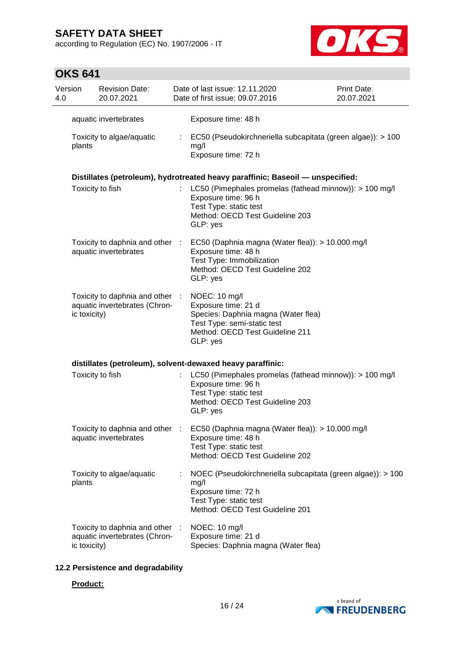according to Regulation (EC) No. 1907/2006 - IT



# **OKS 641**

| Version<br>4.0 |              | <b>Revision Date:</b><br>20.07.2021                              |    | Date of last issue: 12.11.2020<br>Date of first issue: 09.07.2016                                                                                                                   | <b>Print Date:</b><br>20.07.2021 |
|----------------|--------------|------------------------------------------------------------------|----|-------------------------------------------------------------------------------------------------------------------------------------------------------------------------------------|----------------------------------|
|                |              | aquatic invertebrates                                            |    | Exposure time: 48 h                                                                                                                                                                 |                                  |
|                | plants       | Toxicity to algae/aquatic                                        | ÷. | EC50 (Pseudokirchneriella subcapitata (green algae)): > 100<br>mg/l<br>Exposure time: 72 h                                                                                          |                                  |
|                |              |                                                                  |    | Distillates (petroleum), hydrotreated heavy paraffinic; Baseoil — unspecified:                                                                                                      |                                  |
|                |              | Toxicity to fish                                                 |    | LC50 (Pimephales promelas (fathead minnow)): > 100 mg/l<br>Exposure time: 96 h<br>Test Type: static test<br>Method: OECD Test Guideline 203<br>GLP: yes                             |                                  |
|                |              | aquatic invertebrates                                            |    | Toxicity to daphnia and other : EC50 (Daphnia magna (Water flea)): > 10.000 mg/l<br>Exposure time: 48 h<br>Test Type: Immobilization<br>Method: OECD Test Guideline 202<br>GLP: yes |                                  |
|                | ic toxicity) | Toxicity to daphnia and other :<br>aquatic invertebrates (Chron- |    | NOEC: 10 mg/l<br>Exposure time: 21 d<br>Species: Daphnia magna (Water flea)<br>Test Type: semi-static test<br>Method: OECD Test Guideline 211<br>GLP: yes                           |                                  |
|                |              |                                                                  |    | distillates (petroleum), solvent-dewaxed heavy paraffinic:                                                                                                                          |                                  |
|                |              | Toxicity to fish                                                 |    | LC50 (Pimephales promelas (fathead minnow)): > 100 mg/l<br>Exposure time: 96 h<br>Test Type: static test<br>Method: OECD Test Guideline 203<br>GLP: yes                             |                                  |
|                |              | aquatic invertebrates                                            |    | Toxicity to daphnia and other : EC50 (Daphnia magna (Water flea)): > 10.000 mg/l<br>Exposure time: 48 h<br>Test Type: static test<br>Method: OECD Test Guideline 202                |                                  |
|                | plants       | Toxicity to algae/aquatic                                        |    | NOEC (Pseudokirchneriella subcapitata (green algae)): > 100<br>mg/l<br>Exposure time: 72 h<br>Test Type: static test<br>Method: OECD Test Guideline 201                             |                                  |
|                | ic toxicity) | Toxicity to daphnia and other :<br>aquatic invertebrates (Chron- |    | NOEC: 10 mg/l<br>Exposure time: 21 d<br>Species: Daphnia magna (Water flea)                                                                                                         |                                  |

## **12.2 Persistence and degradability**

### **Product:**

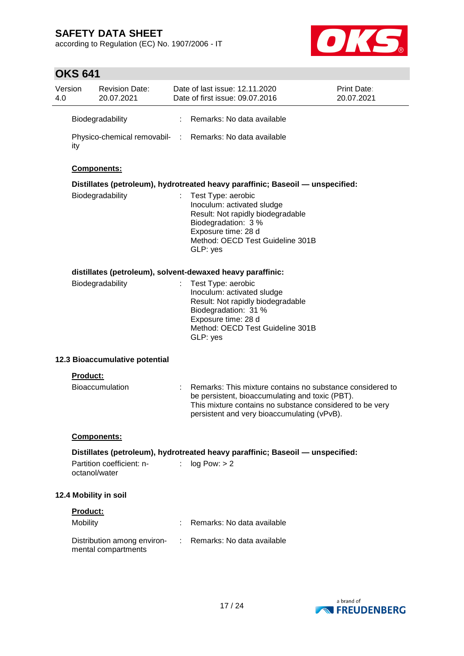according to Regulation (EC) No. 1907/2006 - IT



| 4.0 | Version               | <b>Revision Date:</b><br>20.07.2021                |   | Date of last issue: 12.11.2020<br>Date of first issue: 09.07.2016                                                                                                                                                       | Print Date:<br>20.07.2021 |  |  |
|-----|-----------------------|----------------------------------------------------|---|-------------------------------------------------------------------------------------------------------------------------------------------------------------------------------------------------------------------------|---------------------------|--|--|
|     |                       | Biodegradability                                   | ÷ | Remarks: No data available                                                                                                                                                                                              |                           |  |  |
|     | ity                   | Physico-chemical removabil- :                      |   | Remarks: No data available                                                                                                                                                                                              |                           |  |  |
|     |                       | Components:                                        |   |                                                                                                                                                                                                                         |                           |  |  |
|     |                       |                                                    |   | Distillates (petroleum), hydrotreated heavy paraffinic; Baseoil — unspecified:                                                                                                                                          |                           |  |  |
|     |                       | Biodegradability                                   |   | Test Type: aerobic<br>Inoculum: activated sludge<br>Result: Not rapidly biodegradable<br>Biodegradation: 3 %<br>Exposure time: 28 d<br>Method: OECD Test Guideline 301B<br>GLP: yes                                     |                           |  |  |
|     |                       |                                                    |   | distillates (petroleum), solvent-dewaxed heavy paraffinic:                                                                                                                                                              |                           |  |  |
|     |                       | Biodegradability                                   |   | Test Type: aerobic<br>Inoculum: activated sludge<br>Result: Not rapidly biodegradable<br>Biodegradation: 31 %<br>Exposure time: 28 d<br>Method: OECD Test Guideline 301B<br>GLP: yes                                    |                           |  |  |
|     |                       | 12.3 Bioaccumulative potential                     |   |                                                                                                                                                                                                                         |                           |  |  |
|     | <b>Product:</b>       |                                                    |   |                                                                                                                                                                                                                         |                           |  |  |
|     |                       | <b>Bioaccumulation</b>                             |   | Remarks: This mixture contains no substance considered to<br>be persistent, bioaccumulating and toxic (PBT).<br>This mixture contains no substance considered to be very<br>persistent and very bioaccumulating (vPvB). |                           |  |  |
|     |                       | Components:                                        |   |                                                                                                                                                                                                                         |                           |  |  |
|     |                       |                                                    |   | Distillates (petroleum), hydrotreated heavy paraffinic; Baseoil - unspecified:                                                                                                                                          |                           |  |  |
|     |                       | Partition coefficient: n-<br>octanol/water         | ÷ | log Pow: > 2                                                                                                                                                                                                            |                           |  |  |
|     | 12.4 Mobility in soil |                                                    |   |                                                                                                                                                                                                                         |                           |  |  |
|     | <b>Product:</b>       |                                                    |   |                                                                                                                                                                                                                         |                           |  |  |
|     | Mobility              |                                                    |   | Remarks: No data available                                                                                                                                                                                              |                           |  |  |
|     |                       | Distribution among environ-<br>mental compartments |   | : Remarks: No data available                                                                                                                                                                                            |                           |  |  |

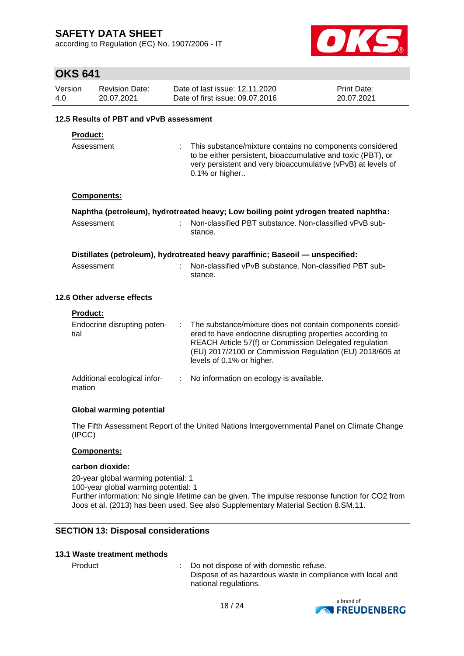according to Regulation (EC) No. 1907/2006 - IT



## **OKS 641**

| Version | <b>Revision Date:</b> | Date of last issue: 12.11.2020  | <b>Print Date:</b> |
|---------|-----------------------|---------------------------------|--------------------|
| 4.0     | 20.07.2021            | Date of first issue: 09.07.2016 | 20.07.2021         |
|         |                       |                                 |                    |

### **12.5 Results of PBT and vPvB assessment**

### **Product:**

Assessment : This substance/mixture contains no components considered to be either persistent, bioaccumulative and toxic (PBT), or very persistent and very bioaccumulative (vPvB) at levels of 0.1% or higher..

### **Components:**

| Naphtha (petroleum), hydrotreated heavy; Low boiling point ydrogen treated naphtha: |  |                                                                   |  |  |  |
|-------------------------------------------------------------------------------------|--|-------------------------------------------------------------------|--|--|--|
| Assessment                                                                          |  | Non-classified PBT substance. Non-classified vPvB sub-<br>stance. |  |  |  |

### **Distillates (petroleum), hydrotreated heavy paraffinic; Baseoil — unspecified:**

| Assessment | Non-classified vPvB substance. Non-classified PBT sub- |  |
|------------|--------------------------------------------------------|--|
|            | stance.                                                |  |

### **12.6 Other adverse effects**

## **Product:**

| Endocrine disrupting poten-<br>tial    |    | The substance/mixture does not contain components consid-<br>ered to have endocrine disrupting properties according to<br>REACH Article 57(f) or Commission Delegated regulation<br>(EU) 2017/2100 or Commission Regulation (EU) 2018/605 at<br>levels of 0.1% or higher. |
|----------------------------------------|----|---------------------------------------------------------------------------------------------------------------------------------------------------------------------------------------------------------------------------------------------------------------------------|
| Additional ecological infor-<br>mation | ÷. | No information on ecology is available.                                                                                                                                                                                                                                   |

### **Global warming potential**

The Fifth Assessment Report of the United Nations Intergovernmental Panel on Climate Change (IPCC)

#### **Components:**

#### **carbon dioxide:**

20-year global warming potential: 1 100-year global warming potential: 1 Further information: No single lifetime can be given. The impulse response function for CO2 from Joos et al. (2013) has been used. See also Supplementary Material Section 8.SM.11.

### **SECTION 13: Disposal considerations**

#### **13.1 Waste treatment methods**

Product : Do not dispose of with domestic refuse. Dispose of as hazardous waste in compliance with local and national regulations.

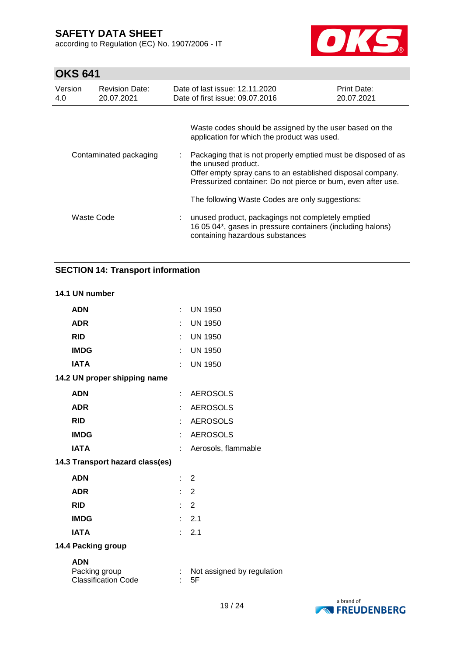according to Regulation (EC) No. 1907/2006 - IT



# **OKS 641**

| Version<br>4.0         | <b>Revision Date:</b><br>20.07.2021 |                                                                                                                                                                                                                                                                                                                                 | Date of last issue: 12.11.2020<br>Date of first issue: 09.07.2016                                                                                                                                       | <b>Print Date:</b><br>20.07.2021 |
|------------------------|-------------------------------------|---------------------------------------------------------------------------------------------------------------------------------------------------------------------------------------------------------------------------------------------------------------------------------------------------------------------------------|---------------------------------------------------------------------------------------------------------------------------------------------------------------------------------------------------------|----------------------------------|
| Contaminated packaging |                                     | Waste codes should be assigned by the user based on the<br>application for which the product was used.<br>: Packaging that is not properly emptied must be disposed of as<br>the unused product.<br>Offer empty spray cans to an established disposal company.<br>Pressurized container: Do not pierce or burn, even after use. |                                                                                                                                                                                                         |                                  |
| Waste Code             |                                     |                                                                                                                                                                                                                                                                                                                                 | The following Waste Codes are only suggestions:<br>: unused product, packagings not completely emptied<br>16 05 04*, gases in pressure containers (including halons)<br>containing hazardous substances |                                  |

## **SECTION 14: Transport information**

### **14.1 UN number**

| <b>ADN</b>                                                | ÷  | <b>UN 1950</b>                   |
|-----------------------------------------------------------|----|----------------------------------|
| <b>ADR</b>                                                | ÷. | <b>UN 1950</b>                   |
| <b>RID</b>                                                |    | $:$ UN 1950                      |
| <b>IMDG</b>                                               |    | <b>UN 1950</b>                   |
| <b>IATA</b>                                               | ÷  | <b>UN 1950</b>                   |
| 14.2 UN proper shipping name                              |    |                                  |
| <b>ADN</b>                                                | t. | <b>AEROSOLS</b>                  |
| <b>ADR</b>                                                | ÷  | <b>AEROSOLS</b>                  |
| <b>RID</b>                                                | t. | <b>AEROSOLS</b>                  |
| <b>IMDG</b>                                               | t. | <b>AEROSOLS</b>                  |
| <b>IATA</b>                                               |    | Aerosols, flammable              |
| 14.3 Transport hazard class(es)                           |    |                                  |
| <b>ADN</b>                                                | t. | 2                                |
| <b>ADR</b>                                                |    | $\therefore$ 2                   |
| <b>RID</b>                                                |    | $\therefore$ 2                   |
| <b>IMDG</b>                                               |    | $\therefore$ 2.1                 |
| <b>IATA</b>                                               |    | 2.1                              |
| 14.4 Packing group                                        |    |                                  |
| <b>ADN</b><br>Packing group<br><b>Classification Code</b> |    | Not assigned by regulation<br>5F |
|                                                           |    |                                  |

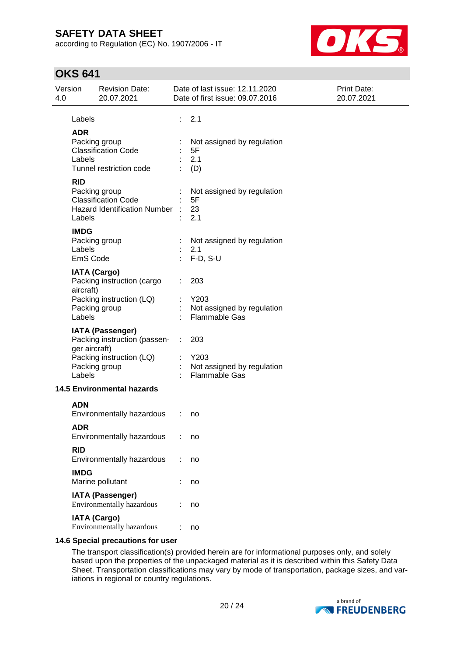according to Regulation (EC) No. 1907/2006 - IT



# **OKS 641**

| Version<br>4.0 |                                   | <b>Revision Date:</b><br>20.07.2021                                                                  |    | Date of last issue: 12.11.2020<br>Date of first issue: 09.07.2016 | Print Date:<br>20.07.2021 |
|----------------|-----------------------------------|------------------------------------------------------------------------------------------------------|----|-------------------------------------------------------------------|---------------------------|
|                | Labels                            |                                                                                                      |    | 2.1                                                               |                           |
|                | <b>ADR</b><br>Labels              | Packing group<br><b>Classification Code</b><br>Tunnel restriction code                               |    | Not assigned by regulation<br>5F<br>2.1<br>(D)                    |                           |
|                | <b>RID</b><br>Labels              | Packing group<br><b>Classification Code</b><br>Hazard Identification Number :                        |    | Not assigned by regulation<br>5F<br>23<br>2.1                     |                           |
|                | <b>IMDG</b><br>Labels<br>EmS Code | Packing group                                                                                        |    | : Not assigned by regulation<br>2.1<br>$F-D, S-U$                 |                           |
|                | aircraft)<br>Labels               | <b>IATA (Cargo)</b><br>Packing instruction (cargo<br>Packing instruction (LQ)<br>Packing group       | t. | 203<br>Y203<br>Not assigned by regulation<br><b>Flammable Gas</b> |                           |
|                | ger aircraft)<br>Labels           | <b>IATA (Passenger)</b><br>Packing instruction (passen-<br>Packing instruction (LQ)<br>Packing group | ÷. | 203<br>Y203<br>Not assigned by regulation<br><b>Flammable Gas</b> |                           |
|                |                                   | <b>14.5 Environmental hazards</b>                                                                    |    |                                                                   |                           |
|                | <b>ADN</b>                        | Environmentally hazardous                                                                            | ÷  | no                                                                |                           |
|                | <b>ADR</b>                        | Environmentally hazardous                                                                            |    | no                                                                |                           |
|                | <b>RID</b>                        | Environmentally hazardous                                                                            |    | no                                                                |                           |
|                | <b>IMDG</b>                       | Marine pollutant                                                                                     |    | no                                                                |                           |
|                |                                   | <b>IATA (Passenger)</b><br>Environmentally hazardous                                                 |    | no                                                                |                           |
|                |                                   | <b>IATA (Cargo)</b><br>Environmentally hazardous                                                     |    | no                                                                |                           |

## **14.6 Special precautions for user**

The transport classification(s) provided herein are for informational purposes only, and solely based upon the properties of the unpackaged material as it is described within this Safety Data Sheet. Transportation classifications may vary by mode of transportation, package sizes, and variations in regional or country regulations.

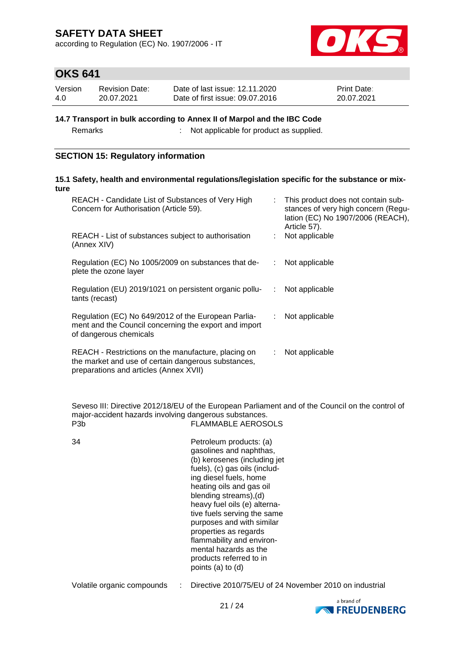according to Regulation (EC) No. 1907/2006 - IT



## **OKS 641**

| Version | <b>Revision Date:</b> | Date of last issue: 12.11.2020  | <b>Print Date:</b> |
|---------|-----------------------|---------------------------------|--------------------|
| 4.0     | 20.07.2021            | Date of first issue: 09.07.2016 | 20.07.2021         |

### **14.7 Transport in bulk according to Annex II of Marpol and the IBC Code**

Remarks : Not applicable for product as supplied.

### **SECTION 15: Regulatory information**

#### **15.1 Safety, health and environmental regulations/legislation specific for the substance or mixture**

| REACH - Candidate List of Substances of Very High<br>Concern for Authorisation (Article 59).                                                         |    | This product does not contain sub-<br>stances of very high concern (Regu-<br>lation (EC) No 1907/2006 (REACH),<br>Article 57). |
|------------------------------------------------------------------------------------------------------------------------------------------------------|----|--------------------------------------------------------------------------------------------------------------------------------|
| REACH - List of substances subject to authorisation<br>(Annex XIV)                                                                                   |    | Not applicable                                                                                                                 |
| Regulation (EC) No 1005/2009 on substances that de-<br>plete the ozone layer                                                                         |    | Not applicable                                                                                                                 |
| Regulation (EU) 2019/1021 on persistent organic pollu-<br>tants (recast)                                                                             | ÷. | Not applicable                                                                                                                 |
| Regulation (EC) No 649/2012 of the European Parlia-<br>ment and the Council concerning the export and import<br>of dangerous chemicals               |    | Not applicable                                                                                                                 |
| REACH - Restrictions on the manufacture, placing on<br>the market and use of certain dangerous substances,<br>preparations and articles (Annex XVII) |    | Not applicable                                                                                                                 |

Seveso III: Directive 2012/18/EU of the European Parliament and of the Council on the control of major-accident hazards involving dangerous substances. FLAMMABLE AEROSOLS

| 34 | Petroleum products: (a)<br>gasolines and naphthas,<br>(b) kerosenes (including jet<br>fuels), (c) gas oils (includ-<br>ing diesel fuels, home<br>heating oils and gas oil<br>blending streams), (d)<br>heavy fuel oils (e) alterna-<br>tive fuels serving the same<br>purposes and with similar<br>properties as regards<br>flammability and environ-<br>mental hazards as the<br>products referred to in |
|----|-----------------------------------------------------------------------------------------------------------------------------------------------------------------------------------------------------------------------------------------------------------------------------------------------------------------------------------------------------------------------------------------------------------|
|    | points (a) to (d)                                                                                                                                                                                                                                                                                                                                                                                         |

Volatile organic compounds : Directive 2010/75/EU of 24 November 2010 on industrial

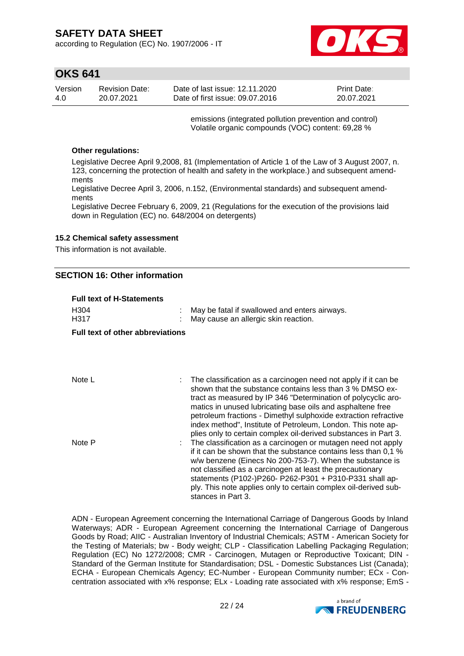according to Regulation (EC) No. 1907/2006 - IT



## **OKS 641**

| Version | <b>Revision Date:</b> | Date of last issue: 12.11.2020  | <b>Print Date:</b> |
|---------|-----------------------|---------------------------------|--------------------|
| 4.0     | 20.07.2021            | Date of first issue: 09.07.2016 | 20.07.2021         |

emissions (integrated pollution prevention and control) Volatile organic compounds (VOC) content: 69,28 %

#### **Other regulations:**

Legislative Decree April 9,2008, 81 (Implementation of Article 1 of the Law of 3 August 2007, n. 123, concerning the protection of health and safety in the workplace.) and subsequent amendments

Legislative Decree April 3, 2006, n.152, (Environmental standards) and subsequent amendments

Legislative Decree February 6, 2009, 21 (Regulations for the execution of the provisions laid down in Regulation (EC) no. 648/2004 on detergents)

#### **15.2 Chemical safety assessment**

This information is not available.

### **SECTION 16: Other information**

| <b>Full text of H-Statements</b>        |                                                                                                                                                                                                                                                                                                                                                                                                                                                                 |
|-----------------------------------------|-----------------------------------------------------------------------------------------------------------------------------------------------------------------------------------------------------------------------------------------------------------------------------------------------------------------------------------------------------------------------------------------------------------------------------------------------------------------|
| H <sub>304</sub><br>H317                | May be fatal if swallowed and enters airways.<br>May cause an allergic skin reaction.                                                                                                                                                                                                                                                                                                                                                                           |
| <b>Full text of other abbreviations</b> |                                                                                                                                                                                                                                                                                                                                                                                                                                                                 |
| Note L                                  | The classification as a carcinogen need not apply if it can be<br>shown that the substance contains less than 3 % DMSO ex-<br>tract as measured by IP 346 "Determination of polycyclic aro-<br>matics in unused lubricating base oils and asphaltene free<br>petroleum fractions - Dimethyl sulphoxide extraction refractive<br>index method", Institute of Petroleum, London. This note ap-<br>plies only to certain complex oil-derived substances in Part 3. |
| Note P                                  | The classification as a carcinogen or mutagen need not apply<br>if it can be shown that the substance contains less than 0,1 %<br>w/w benzene (Einecs No 200-753-7). When the substance is<br>not classified as a carcinogen at least the precautionary<br>statements (P102-)P260- P262-P301 + P310-P331 shall ap-<br>ply. This note applies only to certain complex oil-derived sub-<br>stances in Part 3.                                                     |

ADN - European Agreement concerning the International Carriage of Dangerous Goods by Inland Waterways; ADR - European Agreement concerning the International Carriage of Dangerous Goods by Road; AIIC - Australian Inventory of Industrial Chemicals; ASTM - American Society for the Testing of Materials; bw - Body weight; CLP - Classification Labelling Packaging Regulation; Regulation (EC) No 1272/2008; CMR - Carcinogen, Mutagen or Reproductive Toxicant; DIN - Standard of the German Institute for Standardisation; DSL - Domestic Substances List (Canada); ECHA - European Chemicals Agency; EC-Number - European Community number; ECx - Concentration associated with x% response; ELx - Loading rate associated with x% response; EmS -

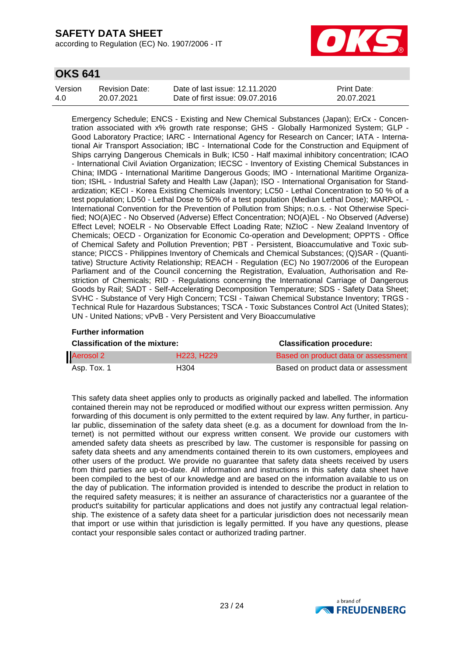according to Regulation (EC) No. 1907/2006 - IT



## **OKS 641**

| Version | Revision Date: | Date of last issue: 12.11.2020  | <b>Print Date:</b> |
|---------|----------------|---------------------------------|--------------------|
| 4.0     | 20.07.2021     | Date of first issue: 09.07.2016 | 20.07.2021         |

Emergency Schedule; ENCS - Existing and New Chemical Substances (Japan); ErCx - Concentration associated with x% growth rate response; GHS - Globally Harmonized System; GLP - Good Laboratory Practice; IARC - International Agency for Research on Cancer; IATA - International Air Transport Association; IBC - International Code for the Construction and Equipment of Ships carrying Dangerous Chemicals in Bulk; IC50 - Half maximal inhibitory concentration; ICAO - International Civil Aviation Organization; IECSC - Inventory of Existing Chemical Substances in China; IMDG - International Maritime Dangerous Goods; IMO - International Maritime Organization; ISHL - Industrial Safety and Health Law (Japan); ISO - International Organisation for Standardization; KECI - Korea Existing Chemicals Inventory; LC50 - Lethal Concentration to 50 % of a test population; LD50 - Lethal Dose to 50% of a test population (Median Lethal Dose); MARPOL - International Convention for the Prevention of Pollution from Ships; n.o.s. - Not Otherwise Specified; NO(A)EC - No Observed (Adverse) Effect Concentration; NO(A)EL - No Observed (Adverse) Effect Level; NOELR - No Observable Effect Loading Rate; NZIoC - New Zealand Inventory of Chemicals; OECD - Organization for Economic Co-operation and Development; OPPTS - Office of Chemical Safety and Pollution Prevention; PBT - Persistent, Bioaccumulative and Toxic substance; PICCS - Philippines Inventory of Chemicals and Chemical Substances; (Q)SAR - (Quantitative) Structure Activity Relationship; REACH - Regulation (EC) No 1907/2006 of the European Parliament and of the Council concerning the Registration, Evaluation, Authorisation and Restriction of Chemicals; RID - Regulations concerning the International Carriage of Dangerous Goods by Rail; SADT - Self-Accelerating Decomposition Temperature; SDS - Safety Data Sheet; SVHC - Substance of Very High Concern; TCSI - Taiwan Chemical Substance Inventory; TRGS - Technical Rule for Hazardous Substances; TSCA - Toxic Substances Control Act (United States); UN - United Nations; vPvB - Very Persistent and Very Bioaccumulative

### **Further information**

| <b>Classification of the mixture:</b> | <b>Classification procedure:</b>  |                                     |
|---------------------------------------|-----------------------------------|-------------------------------------|
| <b>Aerosol 2</b>                      | H <sub>223</sub> H <sub>229</sub> | Based on product data or assessment |
| Asp. Tox. 1                           | H304                              | Based on product data or assessment |

This safety data sheet applies only to products as originally packed and labelled. The information contained therein may not be reproduced or modified without our express written permission. Any forwarding of this document is only permitted to the extent required by law. Any further, in particular public, dissemination of the safety data sheet (e.g. as a document for download from the Internet) is not permitted without our express written consent. We provide our customers with amended safety data sheets as prescribed by law. The customer is responsible for passing on safety data sheets and any amendments contained therein to its own customers, employees and other users of the product. We provide no guarantee that safety data sheets received by users from third parties are up-to-date. All information and instructions in this safety data sheet have been compiled to the best of our knowledge and are based on the information available to us on the day of publication. The information provided is intended to describe the product in relation to the required safety measures; it is neither an assurance of characteristics nor a guarantee of the product's suitability for particular applications and does not justify any contractual legal relationship. The existence of a safety data sheet for a particular jurisdiction does not necessarily mean that import or use within that jurisdiction is legally permitted. If you have any questions, please contact your responsible sales contact or authorized trading partner.